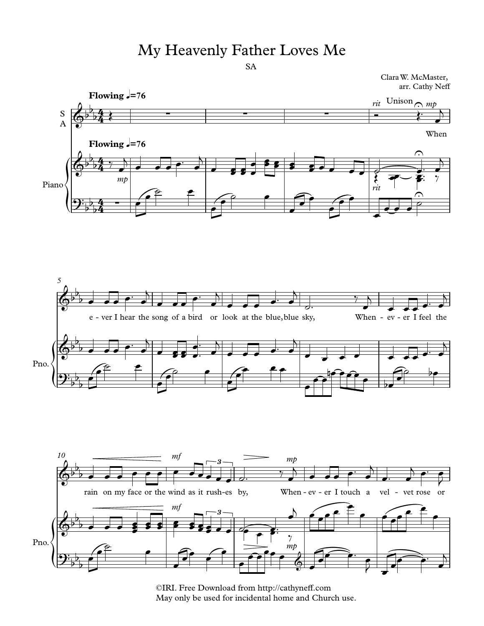## My Heavenly Father Loves Me

Clara W. McMaster, arr. Cathy Neff



<sup>©</sup>IRI. Free Download from http://cathyneff.com May only be used for incidental home and Church use.

SA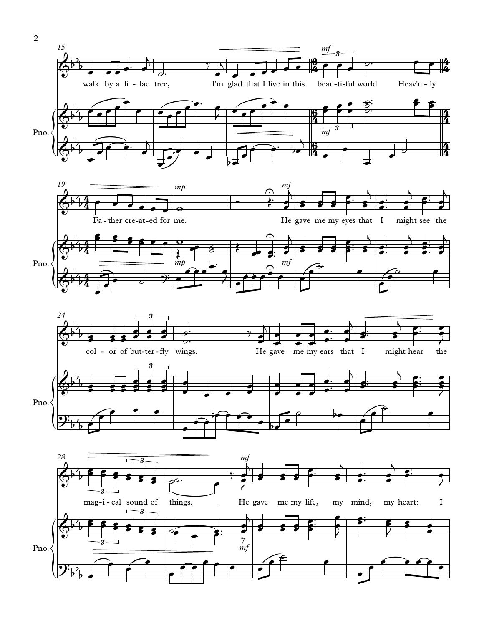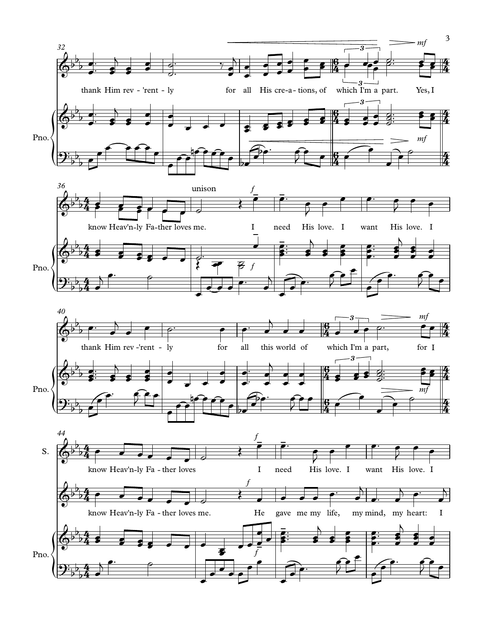